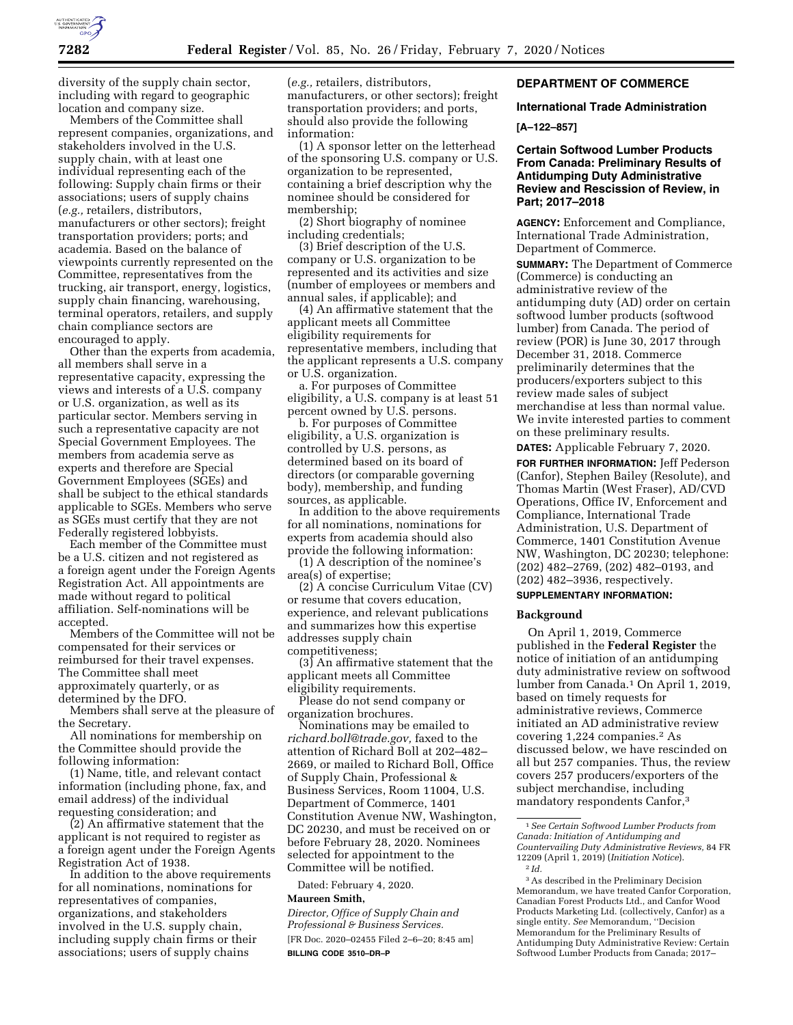

diversity of the supply chain sector, including with regard to geographic location and company size.

Members of the Committee shall represent companies, organizations, and stakeholders involved in the U.S. supply chain, with at least one individual representing each of the following: Supply chain firms or their associations; users of supply chains (*e.g.,* retailers, distributors, manufacturers or other sectors); freight transportation providers; ports; and academia. Based on the balance of viewpoints currently represented on the Committee, representatives from the trucking, air transport, energy, logistics, supply chain financing, warehousing, terminal operators, retailers, and supply chain compliance sectors are encouraged to apply.

Other than the experts from academia, all members shall serve in a representative capacity, expressing the views and interests of a U.S. company or U.S. organization, as well as its particular sector. Members serving in such a representative capacity are not Special Government Employees. The members from academia serve as experts and therefore are Special Government Employees (SGEs) and shall be subject to the ethical standards applicable to SGEs. Members who serve as SGEs must certify that they are not Federally registered lobbyists.

Each member of the Committee must be a U.S. citizen and not registered as a foreign agent under the Foreign Agents Registration Act. All appointments are made without regard to political affiliation. Self-nominations will be accepted.

Members of the Committee will not be compensated for their services or reimbursed for their travel expenses. The Committee shall meet approximately quarterly, or as determined by the DFO.

Members shall serve at the pleasure of the Secretary.

All nominations for membership on the Committee should provide the following information:

(1) Name, title, and relevant contact information (including phone, fax, and email address) of the individual requesting consideration; and

(2) An affirmative statement that the applicant is not required to register as a foreign agent under the Foreign Agents Registration Act of 1938.

In addition to the above requirements for all nominations, nominations for representatives of companies, organizations, and stakeholders involved in the U.S. supply chain, including supply chain firms or their associations; users of supply chains

(*e.g.,* retailers, distributors, manufacturers, or other sectors); freight transportation providers; and ports, should also provide the following information:

(1) A sponsor letter on the letterhead of the sponsoring U.S. company or U.S. organization to be represented, containing a brief description why the nominee should be considered for membership;

(2) Short biography of nominee including credentials;

(3) Brief description of the U.S. company or U.S. organization to be represented and its activities and size (number of employees or members and annual sales, if applicable); and

(4) An affirmative statement that the applicant meets all Committee eligibility requirements for representative members, including that the applicant represents a U.S. company or U.S. organization.

a. For purposes of Committee eligibility, a U.S. company is at least 51 percent owned by U.S. persons.

b. For purposes of Committee eligibility, a U.S. organization is controlled by U.S. persons, as determined based on its board of directors (or comparable governing body), membership, and funding sources, as applicable.

In addition to the above requirements for all nominations, nominations for experts from academia should also provide the following information:

(1) A description of the nominee's area(s) of expertise;

(2) A concise Curriculum Vitae (CV) or resume that covers education, experience, and relevant publications and summarizes how this expertise addresses supply chain competitiveness;

(3) An affirmative statement that the applicant meets all Committee eligibility requirements.

Please do not send company or organization brochures.

Nominations may be emailed to *[richard.boll@trade.gov,](mailto:richard.boll@trade.gov)* faxed to the attention of Richard Boll at 202–482– 2669, or mailed to Richard Boll, Office of Supply Chain, Professional & Business Services, Room 11004, U.S. Department of Commerce, 1401 Constitution Avenue NW, Washington, DC 20230, and must be received on or before February 28, 2020. Nominees selected for appointment to the Committee will be notified.

Dated: February 4, 2020.

### **Maureen Smith,**

*Director, Office of Supply Chain and Professional & Business Services.*  [FR Doc. 2020–02455 Filed 2–6–20; 8:45 am] **BILLING CODE 3510–DR–P** 

# **DEPARTMENT OF COMMERCE**

**International Trade Administration** 

**[A–122–857]** 

# **Certain Softwood Lumber Products From Canada: Preliminary Results of Antidumping Duty Administrative Review and Rescission of Review, in Part; 2017–2018**

**AGENCY:** Enforcement and Compliance, International Trade Administration, Department of Commerce.

**SUMMARY:** The Department of Commerce (Commerce) is conducting an administrative review of the antidumping duty (AD) order on certain softwood lumber products (softwood lumber) from Canada. The period of review (POR) is June 30, 2017 through December 31, 2018. Commerce preliminarily determines that the producers/exporters subject to this review made sales of subject merchandise at less than normal value. We invite interested parties to comment on these preliminary results.

**DATES:** Applicable February 7, 2020.

**FOR FURTHER INFORMATION:** Jeff Pederson (Canfor), Stephen Bailey (Resolute), and Thomas Martin (West Fraser), AD/CVD Operations, Office IV, Enforcement and Compliance, International Trade Administration, U.S. Department of Commerce, 1401 Constitution Avenue NW, Washington, DC 20230; telephone: (202) 482–2769, (202) 482–0193, and (202) 482–3936, respectively.

#### **SUPPLEMENTARY INFORMATION:**

#### **Background**

On April 1, 2019, Commerce published in the **Federal Register** the notice of initiation of an antidumping duty administrative review on softwood lumber from Canada.1 On April 1, 2019, based on timely requests for administrative reviews, Commerce initiated an AD administrative review covering 1,224 companies.2 As discussed below, we have rescinded on all but 257 companies. Thus, the review covers 257 producers/exporters of the subject merchandise, including mandatory respondents Canfor,3

<sup>1</sup>*See Certain Softwood Lumber Products from Canada: Initiation of Antidumping and Countervailing Duty Administrative Reviews,* 84 FR 12209 (April 1, 2019) (*Initiation Notice*). 2 *Id.* 

<sup>3</sup>As described in the Preliminary Decision Memorandum, we have treated Canfor Corporation, Canadian Forest Products Ltd., and Canfor Wood Products Marketing Ltd. (collectively, Canfor) as a single entity. *See* Memorandum, ''Decision Memorandum for the Preliminary Results of Antidumping Duty Administrative Review: Certain Softwood Lumber Products from Canada; 2017–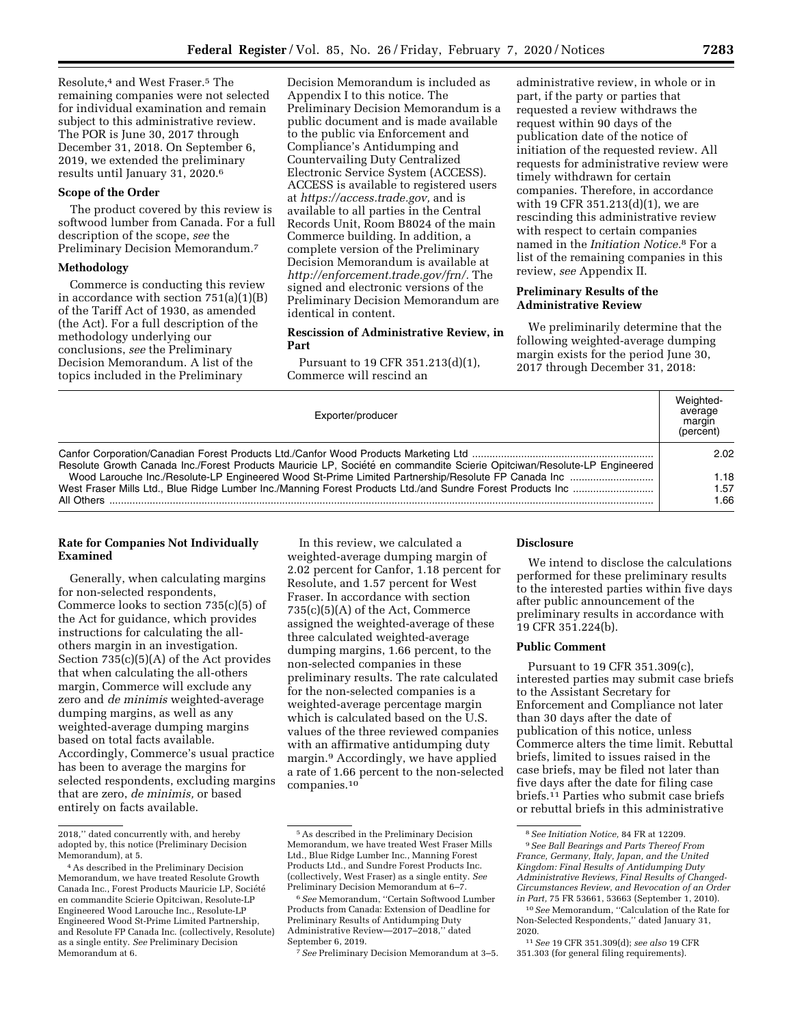Resolute,4 and West Fraser.5 The remaining companies were not selected for individual examination and remain subject to this administrative review. The POR is June 30, 2017 through December 31, 2018. On September 6, 2019, we extended the preliminary results until January 31, 2020.6

### **Scope of the Order**

The product covered by this review is softwood lumber from Canada. For a full description of the scope, *see* the Preliminary Decision Memorandum.7

### **Methodology**

Commerce is conducting this review in accordance with section 751(a)(1)(B) of the Tariff Act of 1930, as amended (the Act). For a full description of the methodology underlying our conclusions, *see* the Preliminary Decision Memorandum. A list of the topics included in the Preliminary

Decision Memorandum is included as Appendix I to this notice. The Preliminary Decision Memorandum is a public document and is made available to the public via Enforcement and Compliance's Antidumping and Countervailing Duty Centralized Electronic Service System (ACCESS). ACCESS is available to registered users at *[https://access.trade.gov,](https://access.trade.gov)* and is available to all parties in the Central Records Unit, Room B8024 of the main Commerce building. In addition, a complete version of the Preliminary Decision Memorandum is available at *[http://enforcement.trade.gov/frn/.](http://enforcement.trade.gov/frn/)* The signed and electronic versions of the Preliminary Decision Memorandum are identical in content.

# **Rescission of Administrative Review, in Part**

Pursuant to 19 CFR 351.213(d)(1), Commerce will rescind an

administrative review, in whole or in part, if the party or parties that requested a review withdraws the request within 90 days of the publication date of the notice of initiation of the requested review. All requests for administrative review were timely withdrawn for certain companies. Therefore, in accordance with 19 CFR 351.213(d)(1), we are rescinding this administrative review with respect to certain companies named in the *Initiation Notice.*8 For a list of the remaining companies in this review, *see* Appendix II.

### **Preliminary Results of the Administrative Review**

We preliminarily determine that the following weighted-average dumping margin exists for the period June 30, 2017 through December 31, 2018:

| Exporter/producer                                                                                                       | Weighted-<br>average<br>margin<br>(percent) |
|-------------------------------------------------------------------------------------------------------------------------|---------------------------------------------|
| Resolute Growth Canada Inc./Forest Products Mauricie LP, Société en commandite Scierie Opitciwan/Resolute-LP Engineered | 2.02                                        |
| All Others                                                                                                              | 1.18<br>1.57<br>1.66                        |

# **Rate for Companies Not Individually Examined**

Generally, when calculating margins for non-selected respondents, Commerce looks to section 735(c)(5) of the Act for guidance, which provides instructions for calculating the allothers margin in an investigation. Section 735(c)(5)(A) of the Act provides that when calculating the all-others margin, Commerce will exclude any zero and *de minimis* weighted-average dumping margins, as well as any weighted-average dumping margins based on total facts available. Accordingly, Commerce's usual practice has been to average the margins for selected respondents, excluding margins that are zero, *de minimis,* or based entirely on facts available.

In this review, we calculated a weighted-average dumping margin of 2.02 percent for Canfor, 1.18 percent for Resolute, and 1.57 percent for West Fraser. In accordance with section 735(c)(5)(A) of the Act, Commerce assigned the weighted-average of these three calculated weighted-average dumping margins, 1.66 percent, to the non-selected companies in these preliminary results. The rate calculated for the non-selected companies is a weighted-average percentage margin which is calculated based on the U.S. values of the three reviewed companies with an affirmative antidumping duty margin.9 Accordingly, we have applied a rate of 1.66 percent to the non-selected companies.10

7*See* Preliminary Decision Memorandum at 3–5.

### **Disclosure**

We intend to disclose the calculations performed for these preliminary results to the interested parties within five days after public announcement of the preliminary results in accordance with 19 CFR 351.224(b).

# **Public Comment**

Pursuant to 19 CFR 351.309(c), interested parties may submit case briefs to the Assistant Secretary for Enforcement and Compliance not later than 30 days after the date of publication of this notice, unless Commerce alters the time limit. Rebuttal briefs, limited to issues raised in the case briefs, may be filed not later than five days after the date for filing case briefs.11 Parties who submit case briefs or rebuttal briefs in this administrative

<sup>2018,&#</sup>x27;' dated concurrently with, and hereby adopted by, this notice (Preliminary Decision Memorandum), at 5.

<sup>4</sup>As described in the Preliminary Decision Memorandum, we have treated Resolute Growth Canada Inc., Forest Products Mauricie LP, Société en commandite Scierie Opitciwan, Resolute-LP Engineered Wood Larouche Inc., Resolute-LP Engineered Wood St-Prime Limited Partnership, and Resolute FP Canada Inc. (collectively, Resolute) as a single entity. *See* Preliminary Decision Memorandum at 6.

<sup>5</sup>As described in the Preliminary Decision Memorandum, we have treated West Fraser Mills Ltd., Blue Ridge Lumber Inc., Manning Forest Products Ltd., and Sundre Forest Products Inc. (collectively, West Fraser) as a single entity. *See*  Preliminary Decision Memorandum at 6–7.

<sup>6</sup>*See* Memorandum, ''Certain Softwood Lumber Products from Canada: Extension of Deadline for Preliminary Results of Antidumping Duty Administrative Review—2017–2018,'' dated September 6, 2019.

<sup>8</sup>*See Initiation Notice,* 84 FR at 12209.

<sup>9</sup>*See Ball Bearings and Parts Thereof From France, Germany, Italy, Japan, and the United Kingdom: Final Results of Antidumping Duty Administrative Reviews, Final Results of Changed-Circumstances Review, and Revocation of an Order in Part,* 75 FR 53661, 53663 (September 1, 2010).

<sup>10</sup>*See* Memorandum, ''Calculation of the Rate for Non-Selected Respondents,'' dated January 31, 2020.

<sup>11</sup>*See* 19 CFR 351.309(d); *see also* 19 CFR 351.303 (for general filing requirements).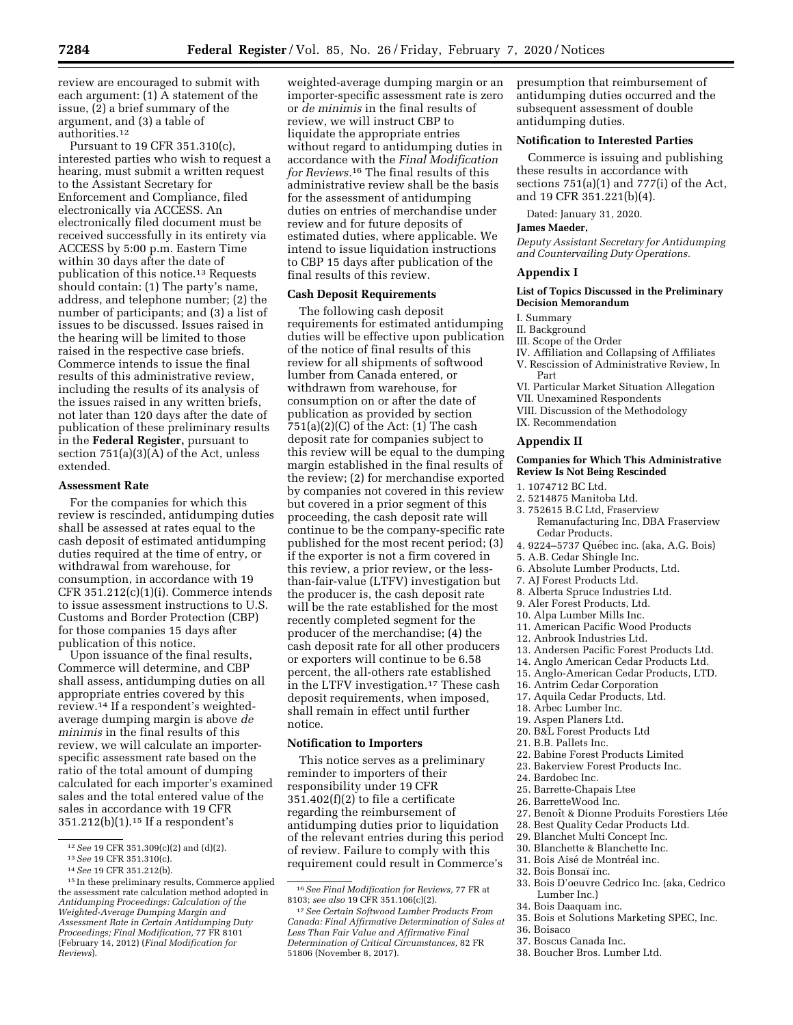review are encouraged to submit with each argument: (1) A statement of the issue, (2) a brief summary of the argument, and (3) a table of authorities.12

Pursuant to 19 CFR 351.310(c), interested parties who wish to request a hearing, must submit a written request to the Assistant Secretary for Enforcement and Compliance, filed electronically via ACCESS. An electronically filed document must be received successfully in its entirety via ACCESS by 5:00 p.m. Eastern Time within 30 days after the date of publication of this notice.13 Requests should contain: (1) The party's name, address, and telephone number; (2) the number of participants; and (3) a list of issues to be discussed. Issues raised in the hearing will be limited to those raised in the respective case briefs. Commerce intends to issue the final results of this administrative review, including the results of its analysis of the issues raised in any written briefs, not later than 120 days after the date of publication of these preliminary results in the **Federal Register,** pursuant to section 751(a)(3)(A) of the Act, unless extended.

### **Assessment Rate**

For the companies for which this review is rescinded, antidumping duties shall be assessed at rates equal to the cash deposit of estimated antidumping duties required at the time of entry, or withdrawal from warehouse, for consumption, in accordance with 19 CFR 351.212(c)(1)(i). Commerce intends to issue assessment instructions to U.S. Customs and Border Protection (CBP) for those companies 15 days after publication of this notice.

Upon issuance of the final results, Commerce will determine, and CBP shall assess, antidumping duties on all appropriate entries covered by this review.14 If a respondent's weightedaverage dumping margin is above *de minimis* in the final results of this review, we will calculate an importerspecific assessment rate based on the ratio of the total amount of dumping calculated for each importer's examined sales and the total entered value of the sales in accordance with 19 CFR 351.212(b)(1).15 If a respondent's

weighted-average dumping margin or an importer-specific assessment rate is zero or *de minimis* in the final results of review, we will instruct CBP to liquidate the appropriate entries without regard to antidumping duties in accordance with the *Final Modification for Reviews.*16 The final results of this administrative review shall be the basis for the assessment of antidumping duties on entries of merchandise under review and for future deposits of estimated duties, where applicable. We intend to issue liquidation instructions to CBP 15 days after publication of the final results of this review.

### **Cash Deposit Requirements**

The following cash deposit requirements for estimated antidumping duties will be effective upon publication of the notice of final results of this review for all shipments of softwood lumber from Canada entered, or withdrawn from warehouse, for consumption on or after the date of publication as provided by section  $751(a)(2)(C)$  of the Act:  $(1)$  The cash deposit rate for companies subject to this review will be equal to the dumping margin established in the final results of the review; (2) for merchandise exported by companies not covered in this review but covered in a prior segment of this proceeding, the cash deposit rate will continue to be the company-specific rate published for the most recent period; (3) if the exporter is not a firm covered in this review, a prior review, or the lessthan-fair-value (LTFV) investigation but the producer is, the cash deposit rate will be the rate established for the most recently completed segment for the producer of the merchandise; (4) the cash deposit rate for all other producers or exporters will continue to be 6.58 percent, the all-others rate established in the LTFV investigation.17 These cash deposit requirements, when imposed, shall remain in effect until further notice.

### **Notification to Importers**

This notice serves as a preliminary reminder to importers of their responsibility under 19 CFR 351.402(f)(2) to file a certificate regarding the reimbursement of antidumping duties prior to liquidation of the relevant entries during this period of review. Failure to comply with this requirement could result in Commerce's presumption that reimbursement of antidumping duties occurred and the subsequent assessment of double antidumping duties.

# **Notification to Interested Parties**

Commerce is issuing and publishing these results in accordance with sections 751(a)(1) and 777(i) of the Act, and 19 CFR 351.221(b)(4).

Dated: January 31, 2020.

#### **James Maeder,**

*Deputy Assistant Secretary for Antidumping and Countervailing Duty Operations.* 

#### **Appendix I**

### **List of Topics Discussed in the Preliminary Decision Memorandum**

# I. Summary

- II. Background
- III. Scope of the Order
- IV. Affiliation and Collapsing of Affiliates V. Rescission of Administrative Review, In
- Part
- VI. Particular Market Situation Allegation
- VII. Unexamined Respondents
- VIII. Discussion of the Methodology IX. Recommendation

### **Appendix II**

### **Companies for Which This Administrative Review Is Not Being Rescinded**

- 1. 1074712 BC Ltd.
- 2. 5214875 Manitoba Ltd.
- 3. 752615 B.C Ltd, Fraserview
- Remanufacturing Inc, DBA Fraserview Cedar Products.
- 4. 9224-5737 Québec inc. (aka, A.G. Bois)
- 5. A.B. Cedar Shingle Inc.
- 6. Absolute Lumber Products, Ltd.
- 7. AJ Forest Products Ltd.
- 8. Alberta Spruce Industries Ltd.
- 9. Aler Forest Products, Ltd.
- 10. Alpa Lumber Mills Inc.
- 11. American Pacific Wood Products
- 12. Anbrook Industries Ltd.
- 13. Andersen Pacific Forest Products Ltd.
- 14. Anglo American Cedar Products Ltd.
- 15. Anglo-American Cedar Products, LTD.
- 16. Antrim Cedar Corporation
- 17. Aquila Cedar Products, Ltd.
- 18. Arbec Lumber Inc.
- 19. Aspen Planers Ltd.
- 20. B&L Forest Products Ltd
- 21. B.B. Pallets Inc.
- 22. Babine Forest Products Limited
- 23. Bakerview Forest Products Inc.
- 24. Bardobec Inc.
- 25. Barrette-Chapais Ltee
- 26. BarretteWood Inc.
- 27. Benoît & Dionne Produits Forestiers Ltée
- 28. Best Quality Cedar Products Ltd.
- 29. Blanchet Multi Concept Inc.
- 30. Blanchette & Blanchette Inc.
- 31. Bois Aisé de Montréal inc.
- 32. Bois Bonsaï inc.
	- 33. Bois D'oeuvre Cedrico Inc. (aka, Cedrico Lumber Inc.)
	- 34. Bois Daaquam inc.
	- 35. Bois et Solutions Marketing SPEC, Inc.
	- 36. Boisaco
	- 37. Boscus Canada Inc.
	- 38. Boucher Bros. Lumber Ltd.

<sup>12</sup>*See* 19 CFR 351.309(c)(2) and (d)(2). 13*See* 19 CFR 351.310(c). 14*See* 19 CFR 351.212(b). 15 In these preliminary results, Commerce applied the assessment rate calculation method adopted in *Antidumping Proceedings: Calculation of the Weighted-Average Dumping Margin and Assessment Rate in Certain Antidumping Duty Proceedings; Final Modification,* 77 FR 8101 (February 14, 2012) (*Final Modification for Reviews*).

<sup>16</sup>*See Final Modification for Reviews,* 77 FR at 8103; *see also* 19 CFR 351.106(c)(2).

<sup>17</sup>*See Certain Softwood Lumber Products From Canada: Final Affirmative Determination of Sales at Less Than Fair Value and Affirmative Final Determination of Critical Circumstances,* 82 FR 51806 (November 8, 2017).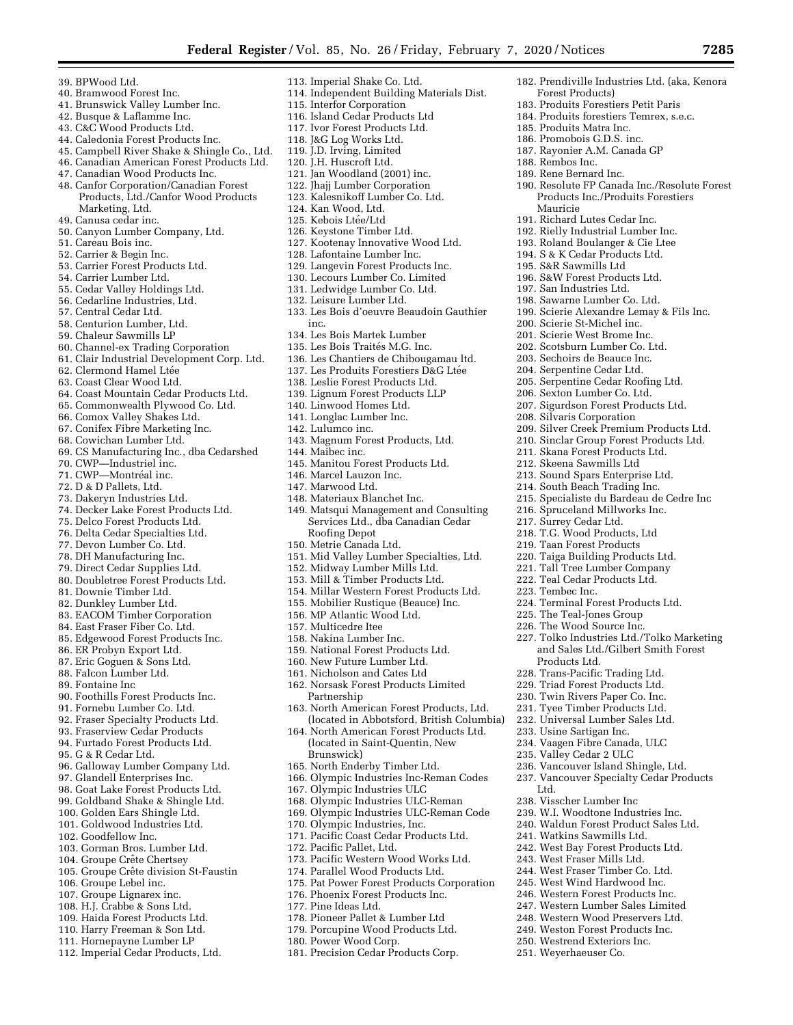182. Prendiville Industries Ltd. (aka, Kenora

190. Resolute FP Canada Inc./Resolute Forest Products Inc./Produits Forestiers

199. Scierie Alexandre Lemay & Fils Inc.

209. Silver Creek Premium Products Ltd. 210. Sinclar Group Forest Products Ltd. 211. Skana Forest Products Ltd. 212. Skeena Sawmills Ltd 213. Sound Spars Enterprise Ltd. 214. South Beach Trading Inc.

215. Specialiste du Bardeau de Cedre Inc

216. Spruceland Millworks Inc. 217. Surrey Cedar Ltd. 218. T.G. Wood Products, Ltd 219. Taan Forest Products 220. Taiga Building Products Ltd. 221. Tall Tree Lumber Company 222. Teal Cedar Products Ltd.

224. Terminal Forest Products Ltd. 225. The Teal-Jones Group 226. The Wood Source Inc.

236. Vancouver Island Shingle, Ltd. 237. Vancouver Specialty Cedar Products

238. Visscher Lumber Inc 239. W.I. Woodtone Industries Inc. 240. Waldun Forest Product Sales Ltd.

241. Watkins Sawmills Ltd. 242. West Bay Forest Products Ltd. 243. West Fraser Mills Ltd. 244. West Fraser Timber Co. Ltd. 245. West Wind Hardwood Inc. 246. Western Forest Products Inc. 247. Western Lumber Sales Limited 248. Western Wood Preservers Ltd. 249. Weston Forest Products Inc. 250. Westrend Exteriors Inc. 251. Weyerhaeuser Co.

227. Tolko Industries Ltd./Tolko Marketing and Sales Ltd./Gilbert Smith Forest

223. Tembec Inc.

Products Ltd. 228. Trans-Pacific Trading Ltd. 229. Triad Forest Products Ltd. 230. Twin Rivers Paper Co. Inc. 231. Tyee Timber Products Ltd. 232. Universal Lumber Sales Ltd. 233. Usine Sartigan Inc. 234. Vaagen Fibre Canada, ULC 235. Valley Cedar 2 ULC

Ltd.

Forest Products)

185. Produits Matra Inc. 186. Promobois G.D.S. inc. 187. Rayonier A.M. Canada GP

188. Rembos Inc. 189. Rene Bernard Inc.

Mauricie

191. Richard Lutes Cedar Inc. 192. Rielly Industrial Lumber Inc. 193. Roland Boulanger & Cie Ltee 194. S & K Cedar Products Ltd. 195. S&R Sawmills Ltd 196. S&W Forest Products Ltd. 197. San Industries Ltd. 198. Sawarne Lumber Co. Ltd.

200. Scierie St-Michel inc. 201. Scierie West Brome Inc. 202. Scotsburn Lumber Co. Ltd. 203. Sechoirs de Beauce Inc. 204. Serpentine Cedar Ltd. 205. Serpentine Cedar Roofing Ltd. 206. Sexton Lumber Co. Ltd. 207. Sigurdson Forest Products Ltd.

208. Silvaris Corporation

183. Produits Forestiers Petit Paris 184. Produits forestiers Temrex, s.e.c.

- 39. BPWood Ltd.
- 40. Bramwood Forest Inc.
- 41. Brunswick Valley Lumber Inc.
- 42. Busque & Laflamme Inc.
- 43. C&C Wood Products Ltd.
- 44. Caledonia Forest Products Inc.
- 45. Campbell River Shake & Shingle Co., Ltd.
- 46. Canadian American Forest Products Ltd.
- 47. Canadian Wood Products Inc.
- 48. Canfor Corporation/Canadian Forest Products, Ltd./Canfor Wood Products Marketing, Ltd.
- 49. Canusa cedar inc.
- 50. Canyon Lumber Company, Ltd.
- 51. Careau Bois inc.
- 52. Carrier & Begin Inc.
- 53. Carrier Forest Products Ltd.
- 54. Carrier Lumber Ltd.
- 55. Cedar Valley Holdings Ltd.
- 56. Cedarline Industries, Ltd.
- 57. Central Cedar Ltd.
- 58. Centurion Lumber, Ltd.
- 59. Chaleur Sawmills LP
- 60. Channel-ex Trading Corporation
- 61. Clair Industrial Development Corp. Ltd.
- 62. Clermond Hamel Ltée
- 63. Coast Clear Wood Ltd.
- 64. Coast Mountain Cedar Products Ltd.
- 65. Commonwealth Plywood Co. Ltd.
- 66. Comox Valley Shakes Ltd.
- 67. Conifex Fibre Marketing Inc.
- 68. Cowichan Lumber Ltd.
- 69. CS Manufacturing Inc., dba Cedarshed
- 70. CWP—Industriel inc.
- 71. CWP-Montréal inc.
- 72. D & D Pallets, Ltd.
- 73. Dakeryn Industries Ltd.
- 74. Decker Lake Forest Products Ltd.
- 75. Delco Forest Products Ltd.
- 76. Delta Cedar Specialties Ltd.
- 77. Devon Lumber Co. Ltd.
- 78. DH Manufacturing Inc.
- 79. Direct Cedar Supplies Ltd.
- 80. Doubletree Forest Products Ltd.
- 81. Downie Timber Ltd.
- 82. Dunkley Lumber Ltd.
- 83. EACOM Timber Corporation
- 84. East Fraser Fiber Co. Ltd.
- 85. Edgewood Forest Products Inc.
- 86. ER Probyn Export Ltd.
- 87. Eric Goguen & Sons Ltd.
- 88. Falcon Lumber Ltd.
- 89. Fontaine Inc
- 90. Foothills Forest Products Inc.
- 91. Fornebu Lumber Co. Ltd.
- 92. Fraser Specialty Products Ltd.
- 93. Fraserview Cedar Products
- 94. Furtado Forest Products Ltd.
- 95. G & R Cedar Ltd.
- 96. Galloway Lumber Company Ltd.
- 97. Glandell Enterprises Inc.
- 98. Goat Lake Forest Products Ltd.
- 99. Goldband Shake & Shingle Ltd.
- 100. Golden Ears Shingle Ltd.
- 101. Goldwood Industries Ltd.
- 102. Goodfellow Inc.
- 103. Gorman Bros. Lumber Ltd.
- 104. Groupe Crête Chertsey
- 105. Groupe Crête division St-Faustin
- 106. Groupe Lebel inc.
- 107. Groupe Lignarex inc.
- 108. H.J. Crabbe & Sons Ltd.
- 109. Haida Forest Products Ltd.
- 110. Harry Freeman & Son Ltd.
- 111. Hornepayne Lumber LP
- 112. Imperial Cedar Products, Ltd.
- 113. Imperial Shake Co. Ltd.
- 114. Independent Building Materials Dist.
- 115. Interfor Corporation
- 116. Island Cedar Products Ltd 117. Ivor Forest Products Ltd.
- 118. J&G Log Works Ltd.
- 119. J.D. Irving, Limited
- 120. J.H. Huscroft Ltd.
- 121. Jan Woodland (2001) inc.
- 
- 122. Jhajj Lumber Corporation
- 123. Kalesnikoff Lumber Co. Ltd. 124. Kan Wood, Ltd.
- 125. Kebois Ltée/Ltd
- 126. Keystone Timber Ltd.
- 127. Kootenay Innovative Wood Ltd.
- 128. Lafontaine Lumber Inc.
- 129. Langevin Forest Products Inc.
- 130. Lecours Lumber Co. Limited
- 131. Ledwidge Lumber Co. Ltd.
- 132. Leisure Lumber Ltd.
- 133. Les Bois d'oeuvre Beaudoin Gauthier inc.
- 134. Les Bois Martek Lumber
- 135. Les Bois Traités M.G. Inc.
- 136. Les Chantiers de Chibougamau ltd. 138. Leslie Forest Products Ltd.

139. Lignum Forest Products LLP 140. Linwood Homes Ltd. 141. Longlac Lumber Inc. 142. Lulumco inc.

143. Magnum Forest Products, Ltd.

145. Manitou Forest Products Ltd.

149. Matsqui Management and Consulting Services Ltd., dba Canadian Cedar

151. Mid Valley Lumber Specialties, Ltd. 152. Midway Lumber Mills Ltd. 153. Mill & Timber Products Ltd. 154. Millar Western Forest Products Ltd. 155. Mobilier Rustique (Beauce) Inc. 156. MP Atlantic Wood Ltd. 157. Multicedre Itee 158. Nakina Lumber Inc.

159. National Forest Products Ltd. 160. New Future Lumber Ltd. 161. Nicholson and Cates Ltd 162. Norsask Forest Products Limited

165. North Enderby Timber Ltd.

167. Olympic Industries ULC 168. Olympic Industries ULC-Reman 169. Olympic Industries ULC-Reman Code

170. Olympic Industries, Inc. 171. Pacific Coast Cedar Products Ltd.

172. Pacific Pallet, Ltd.

177. Pine Ideas Ltd.

180. Power Wood Corp.

163. North American Forest Products, Ltd. (located in Abbotsford, British Columbia) 164. North American Forest Products Ltd. (located in Saint-Quentin, New

166. Olympic Industries Inc-Reman Codes

173. Pacific Western Wood Works Ltd. 174. Parallel Wood Products Ltd.

176. Phoenix Forest Products Inc.

178. Pioneer Pallet & Lumber Ltd 179. Porcupine Wood Products Ltd.

181. Precision Cedar Products Corp.

175. Pat Power Forest Products Corporation

144. Maibec inc.

146. Marcel Lauzon Inc. 147. Marwood Ltd.

Roofing Depot 150. Metrie Canada Ltd.

Partnership

Brunswick)

148. Materiaux Blanchet Inc.

137. Les Produits Forestiers D&G Ltée